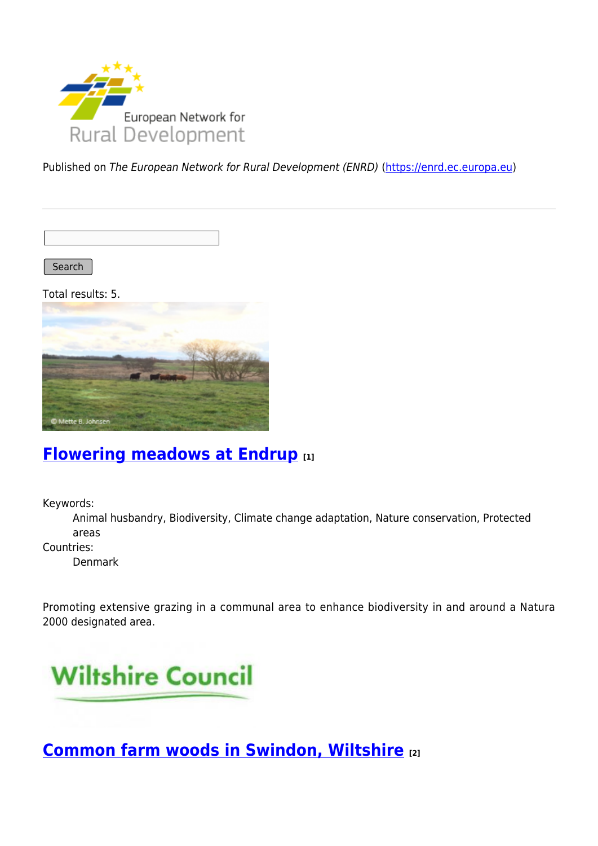

Published on The European Network for Rural Development (ENRD) [\(https://enrd.ec.europa.eu](https://enrd.ec.europa.eu))

Search

Total results: 5.



## **[Flowering meadows at Endrup](https://enrd.ec.europa.eu/projects-practice/flowering-meadows-endrup_en) [1]**

Keywords:

Animal husbandry, Biodiversity, Climate change adaptation, Nature conservation, Protected areas

Countries:

Denmark

Promoting extensive grazing in a communal area to enhance biodiversity in and around a Natura 2000 designated area.



**[Common farm woods in Swindon, Wiltshire](https://enrd.ec.europa.eu/projects-practice/common-farm-woods-swindon-wiltshire_en) [2]**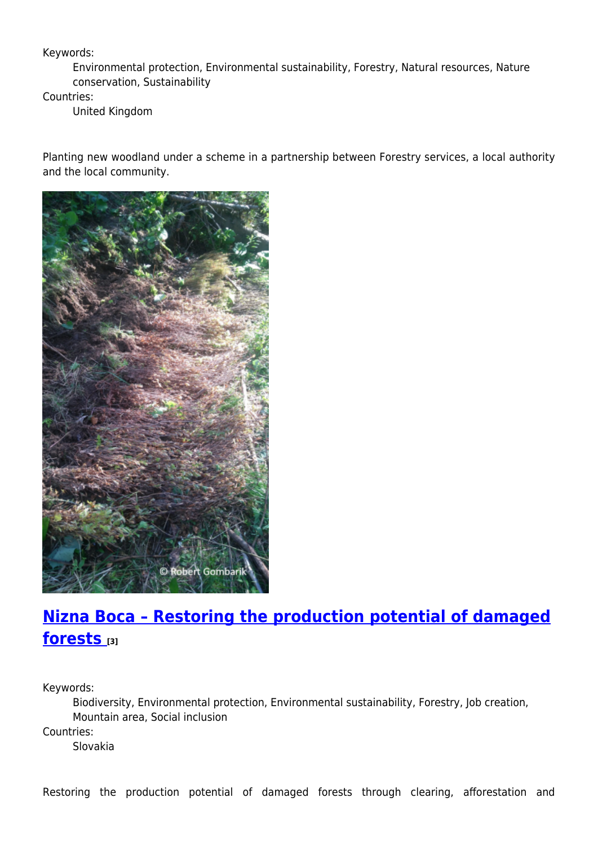Keywords:

Environmental protection, Environmental sustainability, Forestry, Natural resources, Nature conservation, Sustainability

Countries:

United Kingdom

Planting new woodland under a scheme in a partnership between Forestry services, a local authority and the local community.



# **[Nizna Boca – Restoring the production potential of damaged](https://enrd.ec.europa.eu/projects-practice/nizna-boca-restoring-production-potential-damaged-forests_en) [forests](https://enrd.ec.europa.eu/projects-practice/nizna-boca-restoring-production-potential-damaged-forests_en) [3]**

Keywords:

Biodiversity, Environmental protection, Environmental sustainability, Forestry, Job creation, Mountain area, Social inclusion Countries:

Slovakia

Restoring the production potential of damaged forests through clearing, afforestation and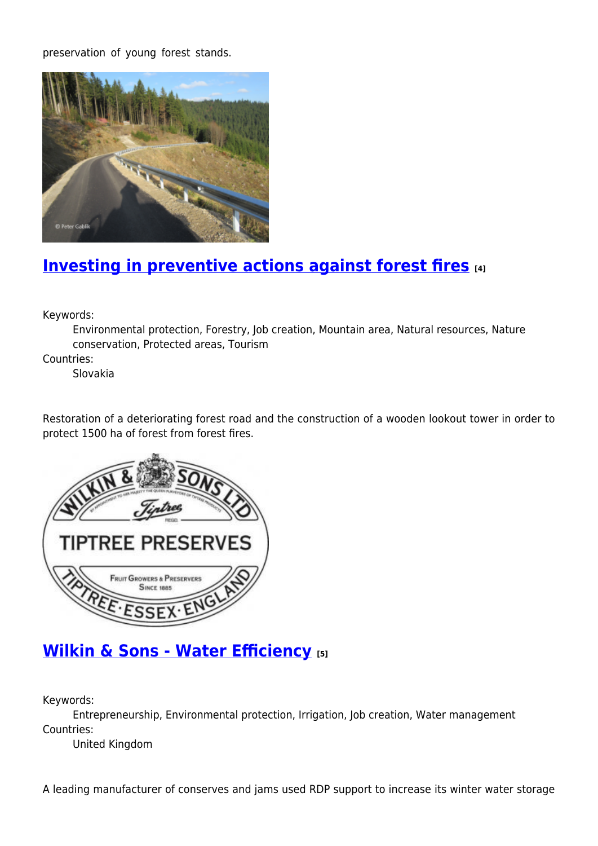preservation of young forest stands.



# **[Investing in preventive actions against forest fires](https://enrd.ec.europa.eu/projects-practice/investing-preventive-actions-against-forest-fires_en) [4]**

Keywords:

Environmental protection, Forestry, Job creation, Mountain area, Natural resources, Nature conservation, Protected areas, Tourism

Countries:

Slovakia

Restoration of a deteriorating forest road and the construction of a wooden lookout tower in order to protect 1500 ha of forest from forest fires.



## **[Wilkin & Sons - Water Efficiency](https://enrd.ec.europa.eu/projects-practice/wilkin-sons-water-efficiency_en) [5]**

Keywords:

Entrepreneurship, Environmental protection, Irrigation, Job creation, Water management Countries:

United Kingdom

A leading manufacturer of conserves and jams used RDP support to increase its winter water storage